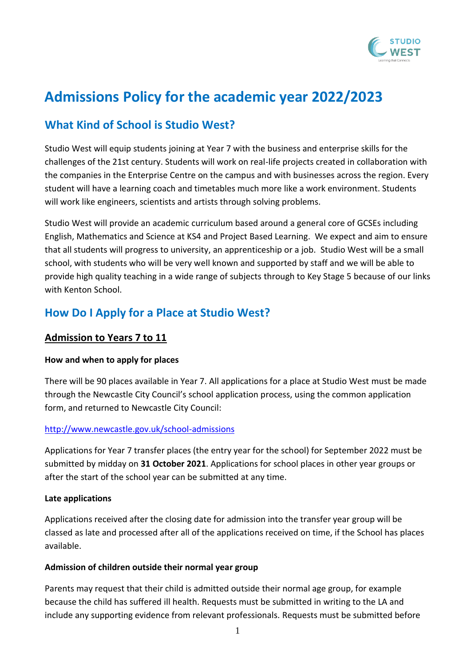

# **Admissions Policy for the academic year 2022/2023**

# **What Kind of School is Studio West?**

Studio West will equip students joining at Year 7 with the business and enterprise skills for the challenges of the 21st century. Students will work on real-life projects created in collaboration with the companies in the Enterprise Centre on the campus and with businesses across the region. Every student will have a learning coach and timetables much more like a work environment. Students will work like engineers, scientists and artists through solving problems.

Studio West will provide an academic curriculum based around a general core of GCSEs including English, Mathematics and Science at KS4 and Project Based Learning. We expect and aim to ensure that all students will progress to university, an apprenticeship or a job. Studio West will be a small school, with students who will be very well known and supported by staff and we will be able to provide high quality teaching in a wide range of subjects through to Key Stage 5 because of our links with Kenton School.

### **How Do I Apply for a Place at Studio West?**

### **Admission to Years 7 to 11**

### **How and when to apply for places**

There will be 90 places available in Year 7. All applications for a place at Studio West must be made through the Newcastle City Council's school application process, using the common application form, and returned to Newcastle City Council:

#### <http://www.newcastle.gov.uk/school-admissions>

Applications for Year 7 transfer places (the entry year for the school) for September 2022 must be submitted by midday on **31 October 2021**. Applications for school places in other year groups or after the start of the school year can be submitted at any time.

#### **Late applications**

Applications received after the closing date for admission into the transfer year group will be classed as late and processed after all of the applications received on time, if the School has places available.

#### **Admission of children outside their normal year group**

Parents may request that their child is admitted outside their normal age group, for example because the child has suffered ill health. Requests must be submitted in writing to the LA and include any supporting evidence from relevant professionals. Requests must be submitted before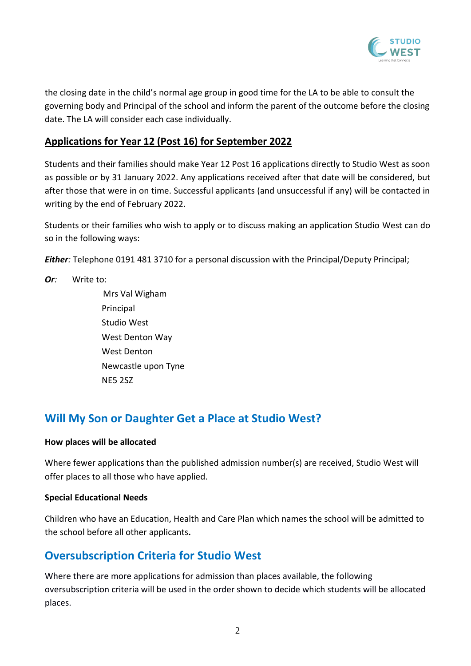

the closing date in the child's normal age group in good time for the LA to be able to consult the governing body and Principal of the school and inform the parent of the outcome before the closing date. The LA will consider each case individually.

### **Applications for Year 12 (Post 16) for September 2022**

Students and their families should make Year 12 Post 16 applications directly to Studio West as soon as possible or by 31 January 2022. Any applications received after that date will be considered, but after those that were in on time. Successful applicants (and unsuccessful if any) will be contacted in writing by the end of February 2022.

Students or their families who wish to apply or to discuss making an application Studio West can do so in the following ways:

*Either:* Telephone 0191 481 3710 for a personal discussion with the Principal/Deputy Principal;

*Or:* Write to:

Mrs Val Wigham Principal Studio West West Denton Way West Denton Newcastle upon Tyne NE5 2SZ

### **Will My Son or Daughter Get a Place at Studio West?**

#### **How places will be allocated**

Where fewer applications than the published admission number(s) are received, Studio West will offer places to all those who have applied.

#### **Special Educational Needs**

Children who have an Education, Health and Care Plan which names the school will be admitted to the school before all other applicants**.** 

### **Oversubscription Criteria for Studio West**

Where there are more applications for admission than places available, the following oversubscription criteria will be used in the order shown to decide which students will be allocated places.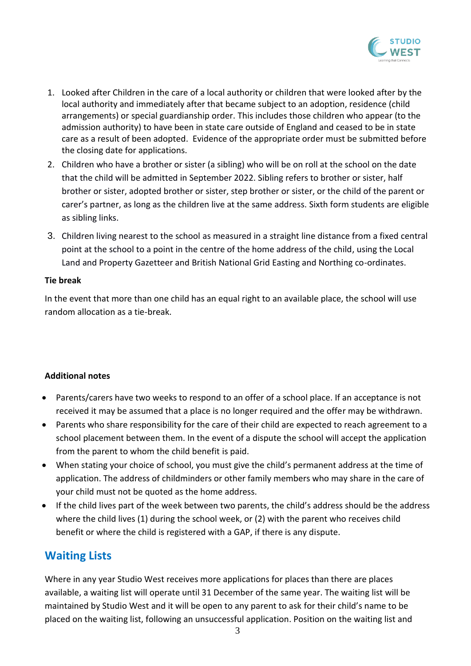

- 1. Looked after Children in the care of a local authority or children that were looked after by the local authority and immediately after that became subject to an adoption, residence (child arrangements) or special guardianship order. This includes those children who appear (to the admission authority) to have been in state care outside of England and ceased to be in state care as a result of been adopted. Evidence of the appropriate order must be submitted before the closing date for applications.
- 2. Children who have a brother or sister (a sibling) who will be on roll at the school on the date that the child will be admitted in September 2022. Sibling refers to brother or sister, half brother or sister, adopted brother or sister, step brother or sister, or the child of the parent or carer's partner, as long as the children live at the same address. Sixth form students are eligible as sibling links.
- 3. Children living nearest to the school as measured in a straight line distance from a fixed central point at the school to a point in the centre of the home address of the child, using the Local Land and Property Gazetteer and British National Grid Easting and Northing co-ordinates.

#### **Tie break**

In the event that more than one child has an equal right to an available place, the school will use random allocation as a tie-break.

### **Additional notes**

- Parents/carers have two weeks to respond to an offer of a school place. If an acceptance is not received it may be assumed that a place is no longer required and the offer may be withdrawn.
- Parents who share responsibility for the care of their child are expected to reach agreement to a school placement between them. In the event of a dispute the school will accept the application from the parent to whom the child benefit is paid.
- When stating your choice of school, you must give the child's permanent address at the time of application. The address of childminders or other family members who may share in the care of your child must not be quoted as the home address.
- If the child lives part of the week between two parents, the child's address should be the address where the child lives (1) during the school week, or (2) with the parent who receives child benefit or where the child is registered with a GAP, if there is any dispute.

# **Waiting Lists**

Where in any year Studio West receives more applications for places than there are places available, a waiting list will operate until 31 December of the same year. The waiting list will be maintained by Studio West and it will be open to any parent to ask for their child's name to be placed on the waiting list, following an unsuccessful application. Position on the waiting list and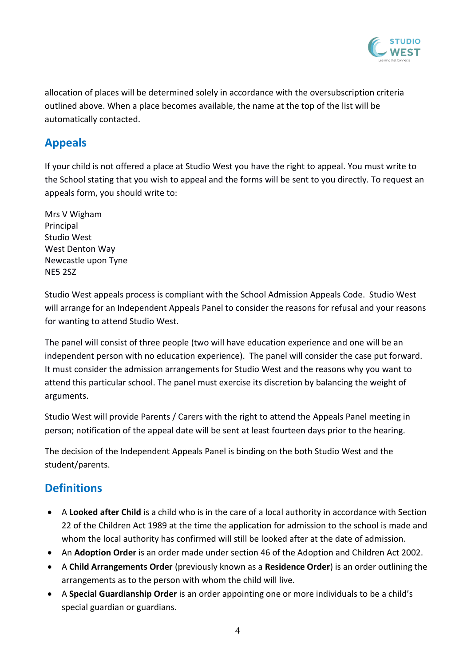

allocation of places will be determined solely in accordance with the oversubscription criteria outlined above. When a place becomes available, the name at the top of the list will be automatically contacted.

### **Appeals**

If your child is not offered a place at Studio West you have the right to appeal. You must write to the School stating that you wish to appeal and the forms will be sent to you directly. To request an appeals form, you should write to:

Mrs V Wigham Principal Studio West West Denton Way Newcastle upon Tyne NE5 2SZ

Studio West appeals process is compliant with the School Admission Appeals Code. Studio West will arrange for an Independent Appeals Panel to consider the reasons for refusal and your reasons for wanting to attend Studio West.

The panel will consist of three people (two will have education experience and one will be an independent person with no education experience). The panel will consider the case put forward. It must consider the admission arrangements for Studio West and the reasons why you want to attend this particular school. The panel must exercise its discretion by balancing the weight of arguments.

Studio West will provide Parents / Carers with the right to attend the Appeals Panel meeting in person; notification of the appeal date will be sent at least fourteen days prior to the hearing.

The decision of the Independent Appeals Panel is binding on the both Studio West and the student/parents.

# **Definitions**

- A **Looked after Child** is a child who is in the care of a local authority in accordance with Section 22 of the Children Act 1989 at the time the application for admission to the school is made and whom the local authority has confirmed will still be looked after at the date of admission.
- An **Adoption Order** is an order made under section 46 of the Adoption and Children Act 2002.
- A **Child Arrangements Order** (previously known as a **Residence Order**) is an order outlining the arrangements as to the person with whom the child will live.
- A **Special Guardianship Order** is an order appointing one or more individuals to be a child's special guardian or guardians.